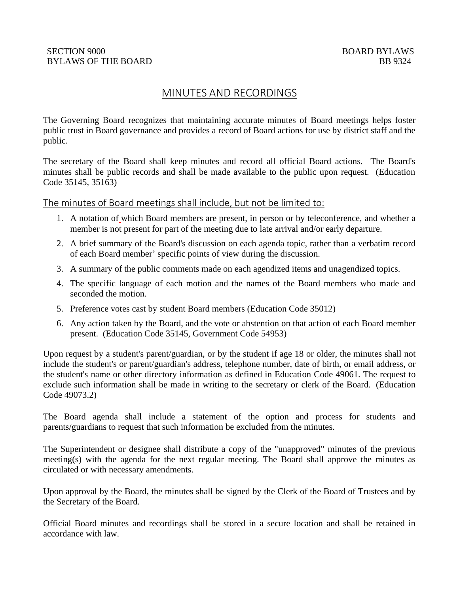## SECTION 9000 BOARD BYLAWS BYLAWS OF THE BOARD BB 9324

# MINUTES AND RECORDINGS

The Governing Board recognizes that maintaining accurate minutes of Board meetings helps foster public trust in Board governance and provides a record of Board actions for use by district staff and the public.

The secretary of the Board shall keep minutes and record all official Board actions. The Board's minutes shall be public records and shall be made available to the public upon request. (Education Code 35145, 35163)

The minutes of Board meetings shall include, but not be limited to:

- 1. A notation of which Board members are present, in person or by teleconference, and whether a member is not present for part of the meeting due to late arrival and/or early departure.
- 2. A brief summary of the Board's discussion on each agenda topic, rather than a verbatim record of each Board member' specific points of view during the discussion.
- 3. A summary of the public comments made on each agendized items and unagendized topics.
- 4. The specific language of each motion and the names of the Board members who made and seconded the motion.
- 5. Preference votes cast by student Board members (Education Code 35012)
- 6. Any action taken by the Board, and the vote or abstention on that action of each Board member present. (Education Code 35145, Government Code 54953)

Upon request by a student's parent/guardian, or by the student if age 18 or older, the minutes shall not include the student's or parent/guardian's address, telephone number, date of birth, or email address, or the student's name or other directory information as defined in Education Code 49061. The request to exclude such information shall be made in writing to the secretary or clerk of the Board. (Education Code 49073.2)

The Board agenda shall include a statement of the option and process for students and parents/guardians to request that such information be excluded from the minutes.

The Superintendent or designee shall distribute a copy of the "unapproved" minutes of the previous meeting(s) with the agenda for the next regular meeting. The Board shall approve the minutes as circulated or with necessary amendments.

Upon approval by the Board, the minutes shall be signed by the Clerk of the Board of Trustees and by the Secretary of the Board.

Official Board minutes and recordings shall be stored in a secure location and shall be retained in accordance with law.